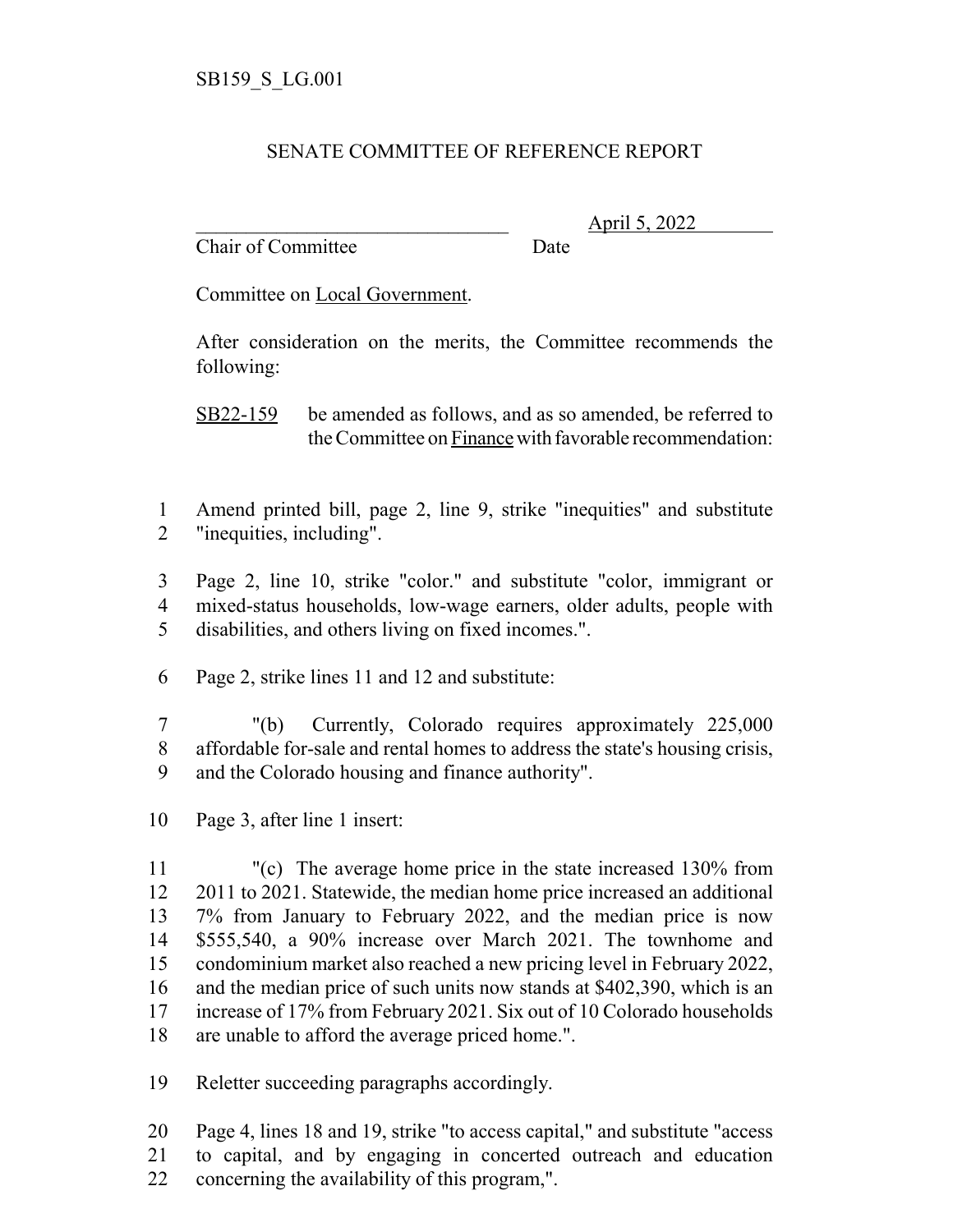## SENATE COMMITTEE OF REFERENCE REPORT

Chair of Committee Date

\_\_\_\_\_\_\_\_\_\_\_\_\_\_\_\_\_\_\_\_\_\_\_\_\_\_\_\_\_\_\_ April 5, 2022

Committee on Local Government.

After consideration on the merits, the Committee recommends the following:

SB22-159 be amended as follows, and as so amended, be referred to the Committee on Finance with favorable recommendation:

- Amend printed bill, page 2, line 9, strike "inequities" and substitute "inequities, including".
- Page 2, line 10, strike "color." and substitute "color, immigrant or mixed-status households, low-wage earners, older adults, people with disabilities, and others living on fixed incomes.".
- Page 2, strike lines 11 and 12 and substitute:
- "(b) Currently, Colorado requires approximately 225,000 affordable for-sale and rental homes to address the state's housing crisis, and the Colorado housing and finance authority".
- Page 3, after line 1 insert:

 "(c) The average home price in the state increased 130% from 2011 to 2021. Statewide, the median home price increased an additional 7% from January to February 2022, and the median price is now \$555,540, a 90% increase over March 2021. The townhome and condominium market also reached a new pricing level in February 2022, and the median price of such units now stands at \$402,390, which is an increase of 17% from February 2021. Six out of 10 Colorado households are unable to afford the average priced home.".

Reletter succeeding paragraphs accordingly.

 Page 4, lines 18 and 19, strike "to access capital," and substitute "access to capital, and by engaging in concerted outreach and education concerning the availability of this program,".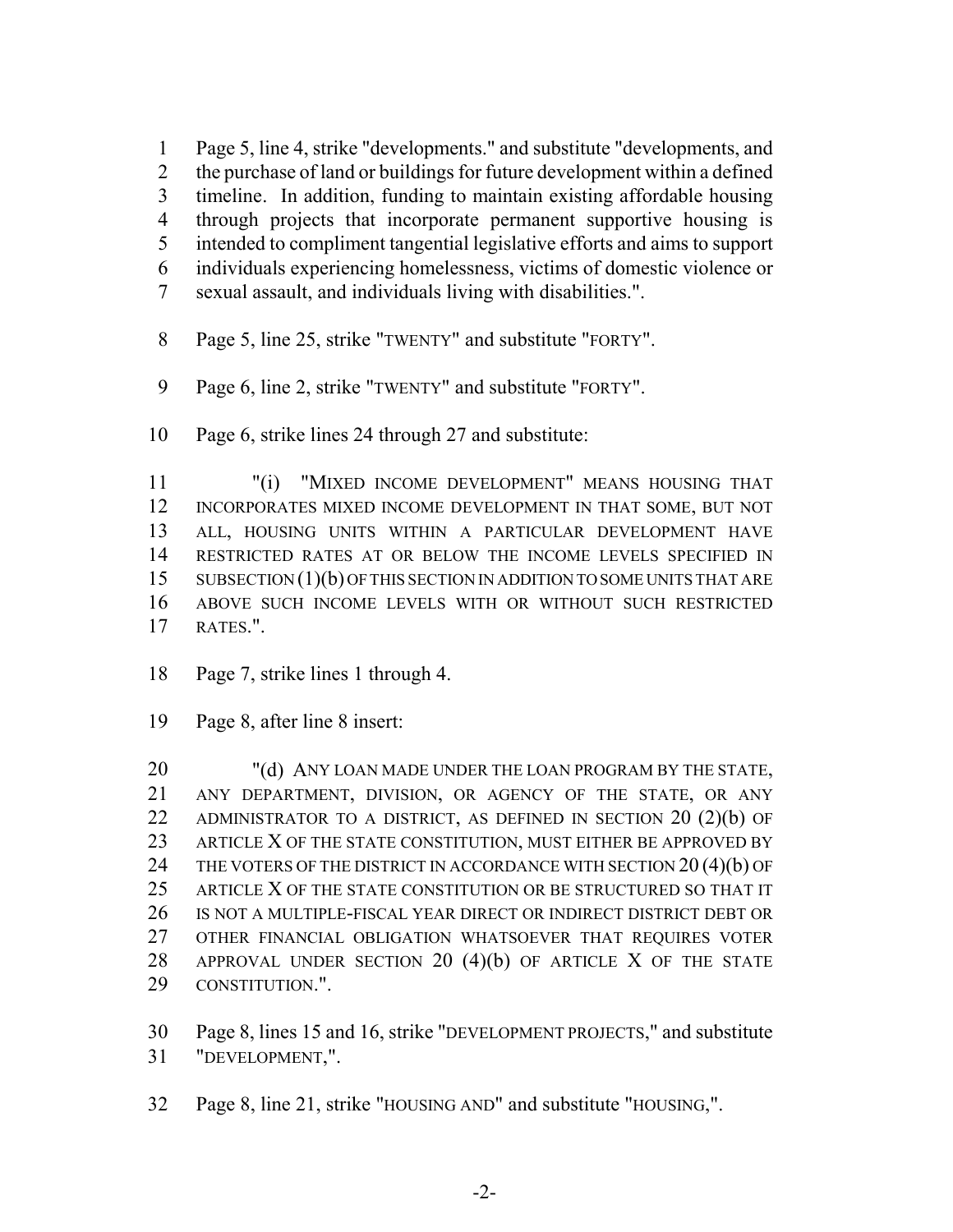Page 5, line 4, strike "developments." and substitute "developments, and the purchase of land or buildings for future development within a defined timeline. In addition, funding to maintain existing affordable housing through projects that incorporate permanent supportive housing is intended to compliment tangential legislative efforts and aims to support individuals experiencing homelessness, victims of domestic violence or sexual assault, and individuals living with disabilities.".

- Page 5, line 25, strike "TWENTY" and substitute "FORTY".
- Page 6, line 2, strike "TWENTY" and substitute "FORTY".
- Page 6, strike lines 24 through 27 and substitute:

 "(i) "MIXED INCOME DEVELOPMENT" MEANS HOUSING THAT INCORPORATES MIXED INCOME DEVELOPMENT IN THAT SOME, BUT NOT ALL, HOUSING UNITS WITHIN A PARTICULAR DEVELOPMENT HAVE RESTRICTED RATES AT OR BELOW THE INCOME LEVELS SPECIFIED IN 15 SUBSECTION (1)(b) OF THIS SECTION IN ADDITION TO SOME UNITS THAT ARE ABOVE SUCH INCOME LEVELS WITH OR WITHOUT SUCH RESTRICTED RATES.".

- Page 7, strike lines 1 through 4.
- Page 8, after line 8 insert:

20 "(d) ANY LOAN MADE UNDER THE LOAN PROGRAM BY THE STATE, ANY DEPARTMENT, DIVISION, OR AGENCY OF THE STATE, OR ANY 22 ADMINISTRATOR TO A DISTRICT, AS DEFINED IN SECTION 20 (2)(b) OF 23 ARTICLE X OF THE STATE CONSTITUTION, MUST EITHER BE APPROVED BY 24 THE VOTERS OF THE DISTRICT IN ACCORDANCE WITH SECTION 20(4)(b) OF 25 ARTICLE X OF THE STATE CONSTITUTION OR BE STRUCTURED SO THAT IT IS NOT A MULTIPLE-FISCAL YEAR DIRECT OR INDIRECT DISTRICT DEBT OR OTHER FINANCIAL OBLIGATION WHATSOEVER THAT REQUIRES VOTER 28 APPROVAL UNDER SECTION 20 (4)(b) OF ARTICLE X OF THE STATE CONSTITUTION.".

 Page 8, lines 15 and 16, strike "DEVELOPMENT PROJECTS," and substitute "DEVELOPMENT,".

Page 8, line 21, strike "HOUSING AND" and substitute "HOUSING,".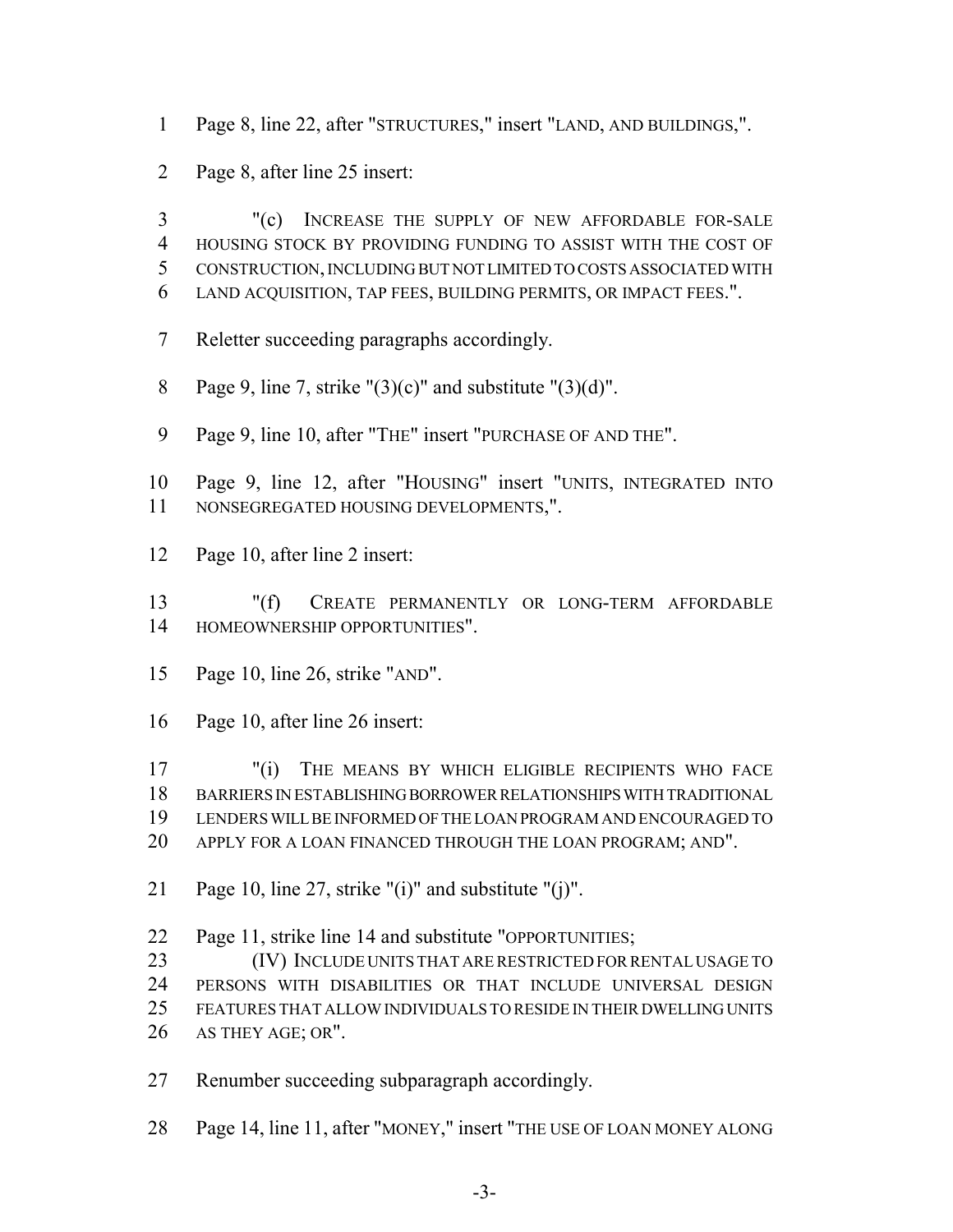- Page 8, line 22, after "STRUCTURES," insert "LAND, AND BUILDINGS,".
- Page 8, after line 25 insert:

 "(c) INCREASE THE SUPPLY OF NEW AFFORDABLE FOR-SALE HOUSING STOCK BY PROVIDING FUNDING TO ASSIST WITH THE COST OF CONSTRUCTION, INCLUDING BUT NOT LIMITED TO COSTS ASSOCIATED WITH LAND ACQUISITION, TAP FEES, BUILDING PERMITS, OR IMPACT FEES.".

- Reletter succeeding paragraphs accordingly.
- 8 Page 9, line 7, strike " $(3)(c)$ " and substitute " $(3)(d)$ ".
- Page 9, line 10, after "THE" insert "PURCHASE OF AND THE".

 Page 9, line 12, after "HOUSING" insert "UNITS, INTEGRATED INTO NONSEGREGATED HOUSING DEVELOPMENTS,".

Page 10, after line 2 insert:

 "(f) CREATE PERMANENTLY OR LONG-TERM AFFORDABLE HOMEOWNERSHIP OPPORTUNITIES".

- Page 10, line 26, strike "AND".
- Page 10, after line 26 insert:

 "(i) THE MEANS BY WHICH ELIGIBLE RECIPIENTS WHO FACE BARRIERS IN ESTABLISHING BORROWER RELATIONSHIPS WITH TRADITIONAL LENDERS WILL BE INFORMED OF THE LOAN PROGRAM AND ENCOURAGED TO APPLY FOR A LOAN FINANCED THROUGH THE LOAN PROGRAM; AND".

Page 10, line 27, strike "(i)" and substitute "(j)".

 Page 11, strike line 14 and substitute "OPPORTUNITIES; (IV) INCLUDE UNITS THAT ARE RESTRICTED FOR RENTAL USAGE TO PERSONS WITH DISABILITIES OR THAT INCLUDE UNIVERSAL DESIGN FEATURES THAT ALLOW INDIVIDUALS TO RESIDE IN THEIR DWELLING UNITS AS THEY AGE; OR".

Renumber succeeding subparagraph accordingly.

Page 14, line 11, after "MONEY," insert "THE USE OF LOAN MONEY ALONG